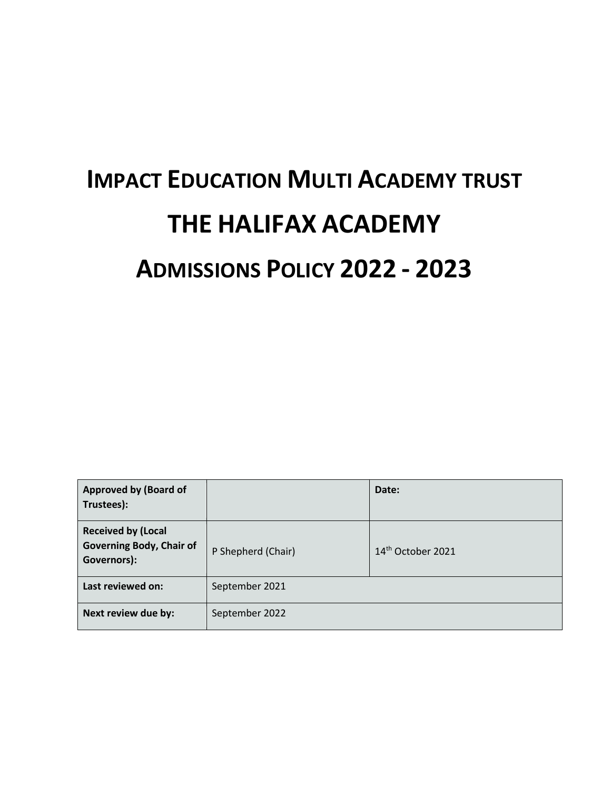# **IMPACT EDUCATION MULTI ACADEMY TRUST THE HALIFAX ACADEMY ADMISSIONS POLICY 2022 - 2023**

| <b>Approved by (Board of</b><br>Trustees):                                  |                    | Date:                         |
|-----------------------------------------------------------------------------|--------------------|-------------------------------|
| <b>Received by (Local</b><br><b>Governing Body, Chair of</b><br>Governors): | P Shepherd (Chair) | 14 <sup>th</sup> October 2021 |
| Last reviewed on:                                                           | September 2021     |                               |
| Next review due by:                                                         | September 2022     |                               |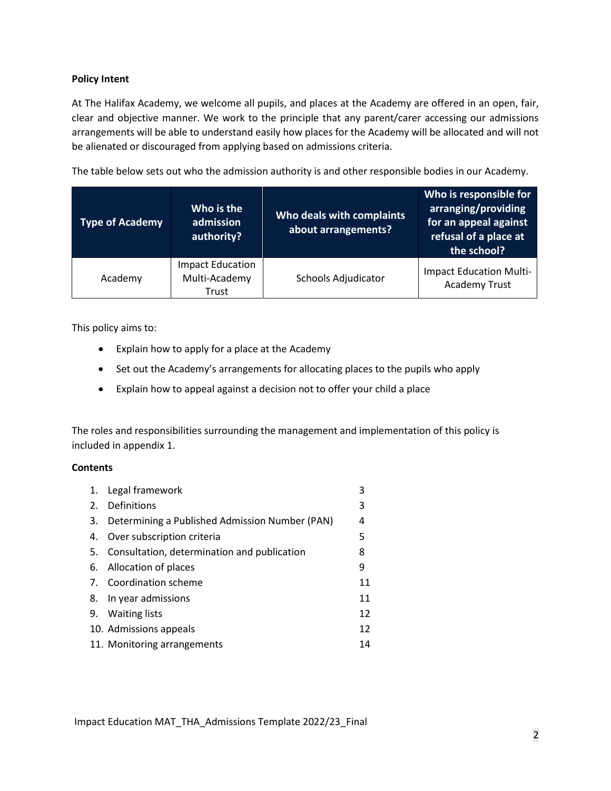### **Policy Intent**

At The Halifax Academy, we welcome all pupils, and places at the Academy are offered in an open, fair, clear and objective manner. We work to the principle that any parent/carer accessing our admissions arrangements will be able to understand easily how places for the Academy will be allocated and will not be alienated or discouraged from applying based on admissions criteria.

The table below sets out who the admission authority is and other responsible bodies in our Academy.

| <b>Type of Academy</b> | Who is the<br>admission<br>authority?             | Who deals with complaints<br>about arrangements? | Who is responsible for<br>arranging/providing<br>for an appeal against<br>refusal of a place at<br>the school? |
|------------------------|---------------------------------------------------|--------------------------------------------------|----------------------------------------------------------------------------------------------------------------|
| Academy                | <b>Impact Education</b><br>Multi-Academy<br>Trust | Schools Adjudicator                              | <b>Impact Education Multi-</b><br><b>Academy Trust</b>                                                         |

This policy aims to:

- Explain how to apply for a place at the Academy
- Set out the Academy's arrangements for allocating places to the pupils who apply
- Explain how to appeal against a decision not to offer your child a place

The roles and responsibilities surrounding the management and implementation of this policy is included in appendix 1.

### **Contents**

| 1. Legal framework                                | 3  |
|---------------------------------------------------|----|
| 2. Definitions                                    | 3  |
| 3. Determining a Published Admission Number (PAN) | 4  |
| 4. Over subscription criteria                     | 5  |
| 5. Consultation, determination and publication    | 8  |
| 6. Allocation of places                           | 9  |
| 7. Coordination scheme                            | 11 |
| 8. In year admissions                             | 11 |
| 9. Waiting lists                                  | 12 |
| 10. Admissions appeals                            | 12 |
| 11. Monitoring arrangements                       | 14 |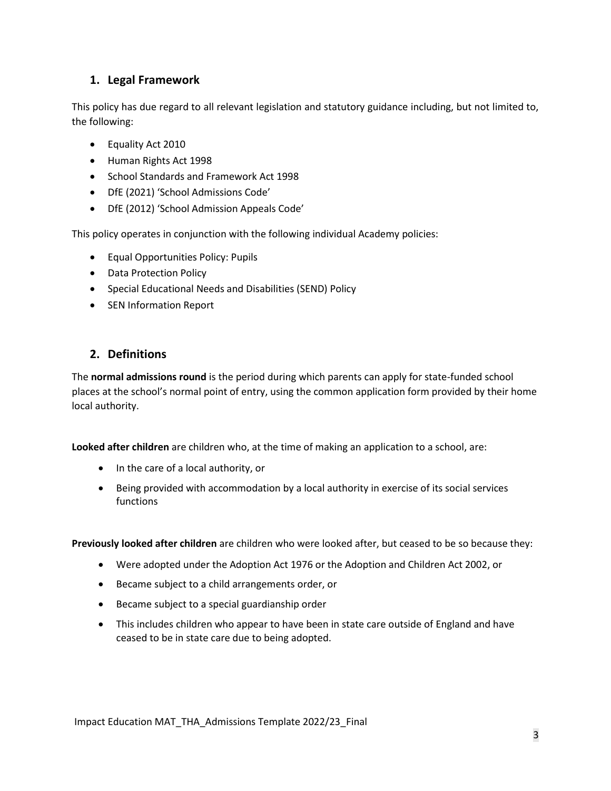# **1. Legal Framework**

This policy has due regard to all relevant legislation and statutory guidance including, but not limited to, the following:

- Equality Act 2010
- Human Rights Act 1998
- School Standards and Framework Act 1998
- DfE (2021) 'School Admissions Code'
- DfE (2012) 'School Admission Appeals Code'

This policy operates in conjunction with the following individual Academy policies:

- Equal Opportunities Policy: Pupils
- Data Protection Policy
- Special Educational Needs and Disabilities (SEND) Policy
- SEN Information Report

## **2. Definitions**

The **normal admissions round** is the period during which parents can apply for state-funded school places at the school's normal point of entry, using the common application form provided by their home local authority.

**Looked after children** are children who, at the time of making an application to a school, are:

- In the care of a local authority, or
- Being provided with accommodation by a local authority in exercise of its social services functions

**Previously looked after children** are children who were looked after, but ceased to be so because they:

- Were adopted under the Adoption Act 1976 or the Adoption and Children Act 2002, or
- Became subject to a child arrangements order, or
- Became subject to a special guardianship order
- This includes children who appear to have been in state care outside of England and have ceased to be in state care due to being adopted.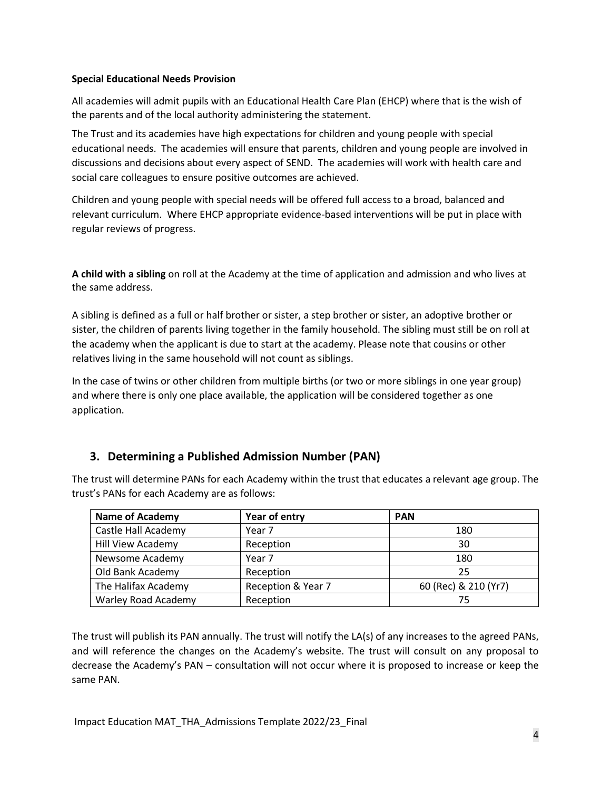### **Special Educational Needs Provision**

All academies will admit pupils with an Educational Health Care Plan (EHCP) where that is the wish of the parents and of the local authority administering the statement.

The Trust and its academies have high expectations for children and young people with special educational needs. The academies will ensure that parents, children and young people are involved in discussions and decisions about every aspect of SEND. The academies will work with health care and social care colleagues to ensure positive outcomes are achieved.

Children and young people with special needs will be offered full access to a broad, balanced and relevant curriculum. Where EHCP appropriate evidence-based interventions will be put in place with regular reviews of progress.

**A child with a sibling** on roll at the Academy at the time of application and admission and who lives at the same address.

A sibling is defined as a full or half brother or sister, a step brother or sister, an adoptive brother or sister, the children of parents living together in the family household. The sibling must still be on roll at the academy when the applicant is due to start at the academy. Please note that cousins or other relatives living in the same household will not count as siblings.

In the case of twins or other children from multiple births (or two or more siblings in one year group) and where there is only one place available, the application will be considered together as one application.

# **3. Determining a Published Admission Number (PAN)**

The trust will determine PANs for each Academy within the trust that educates a relevant age group. The trust's PANs for each Academy are as follows:

| <b>Name of Academy</b>     | Year of entry      | <b>PAN</b>           |
|----------------------------|--------------------|----------------------|
| Castle Hall Academy        | Year 7             | 180                  |
| <b>Hill View Academy</b>   | Reception          | 30                   |
| Newsome Academy            | Year 7             | 180                  |
| Old Bank Academy           | Reception          | 25                   |
| The Halifax Academy        | Reception & Year 7 | 60 (Rec) & 210 (Yr7) |
| <b>Warley Road Academy</b> | Reception          | 75                   |

The trust will publish its PAN annually. The trust will notify the LA(s) of any increases to the agreed PANs, and will reference the changes on the Academy's website. The trust will consult on any proposal to decrease the Academy's PAN – consultation will not occur where it is proposed to increase or keep the same PAN.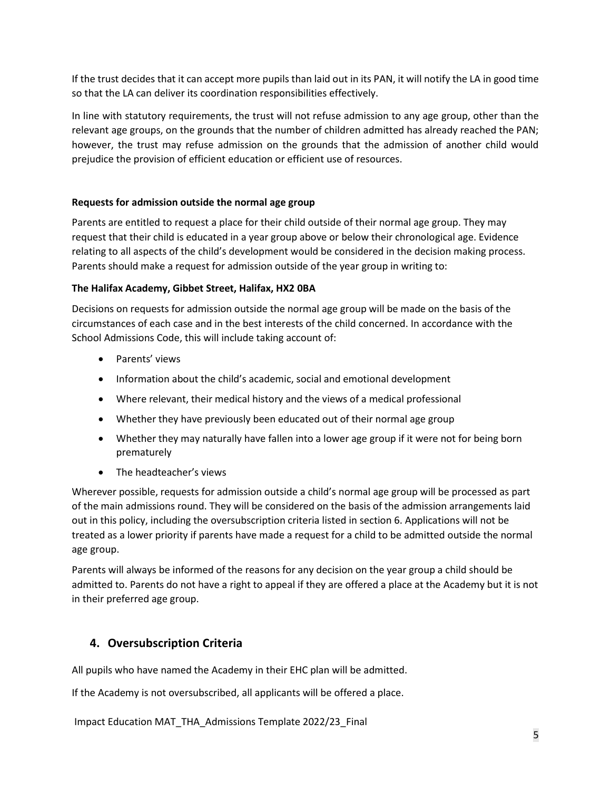If the trust decides that it can accept more pupils than laid out in its PAN, it will notify the LA in good time so that the LA can deliver its coordination responsibilities effectively.

In line with statutory requirements, the trust will not refuse admission to any age group, other than the relevant age groups, on the grounds that the number of children admitted has already reached the PAN; however, the trust may refuse admission on the grounds that the admission of another child would prejudice the provision of efficient education or efficient use of resources.

## **Requests for admission outside the normal age group**

Parents are entitled to request a place for their child outside of their normal age group. They may request that their child is educated in a year group above or below their chronological age. Evidence relating to all aspects of the child's development would be considered in the decision making process. Parents should make a request for admission outside of the year group in writing to:

## **The Halifax Academy, Gibbet Street, Halifax, HX2 0BA**

Decisions on requests for admission outside the normal age group will be made on the basis of the circumstances of each case and in the best interests of the child concerned. In accordance with the School Admissions Code, this will include taking account of:

- Parents' views
- Information about the child's academic, social and emotional development
- Where relevant, their medical history and the views of a medical professional
- Whether they have previously been educated out of their normal age group
- Whether they may naturally have fallen into a lower age group if it were not for being born prematurely
- The headteacher's views

Wherever possible, requests for admission outside a child's normal age group will be processed as part of the main admissions round. They will be considered on the basis of the admission arrangements laid out in this policy, including the oversubscription criteria listed in section 6. Applications will not be treated as a lower priority if parents have made a request for a child to be admitted outside the normal age group.

Parents will always be informed of the reasons for any decision on the year group a child should be admitted to. Parents do not have a right to appeal if they are offered a place at the Academy but it is not in their preferred age group.

## **4. Oversubscription Criteria**

All pupils who have named the Academy in their EHC plan will be admitted.

If the Academy is not oversubscribed, all applicants will be offered a place.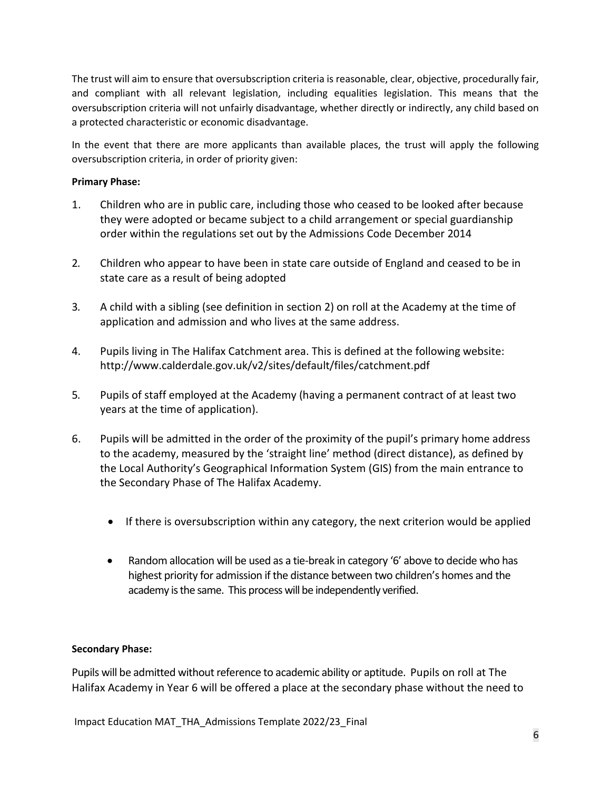The trust will aim to ensure that oversubscription criteria is reasonable, clear, objective, procedurally fair, and compliant with all relevant legislation, including equalities legislation. This means that the oversubscription criteria will not unfairly disadvantage, whether directly or indirectly, any child based on a protected characteristic or economic disadvantage.

In the event that there are more applicants than available places, the trust will apply the following oversubscription criteria, in order of priority given:

## **Primary Phase:**

- 1. Children who are in public care, including those who ceased to be looked after because they were adopted or became subject to a child arrangement or special guardianship order within the regulations set out by the Admissions Code December 2014
- 2. Children who appear to have been in state care outside of England and ceased to be in state care as a result of being adopted
- 3. A child with a sibling (see definition in section 2) on roll at the Academy at the time of application and admission and who lives at the same address.
- 4. Pupils living in The Halifax Catchment area. This is defined at the following website: <http://www.calderdale.gov.uk/v2/sites/default/files/catchment.pdf>
- 5. Pupils of staff employed at the Academy (having a permanent contract of at least two years at the time of application).
- 6. Pupils will be admitted in the order of the proximity of the pupil's primary home address to the academy, measured by the 'straight line' method (direct distance), as defined by the Local Authority's Geographical Information System (GIS) from the main entrance to the Secondary Phase of The Halifax Academy.
	- If there is oversubscription within any category, the next criterion would be applied
	- Random allocation will be used as a tie-break in category '6' above to decide who has highest priority for admission if the distance between two children's homes and the academy is the same. This process will be independently verified.

## **Secondary Phase:**

Pupils will be admitted without reference to academic ability or aptitude. Pupils on roll at The Halifax Academy in Year 6 will be offered a place at the secondary phase without the need to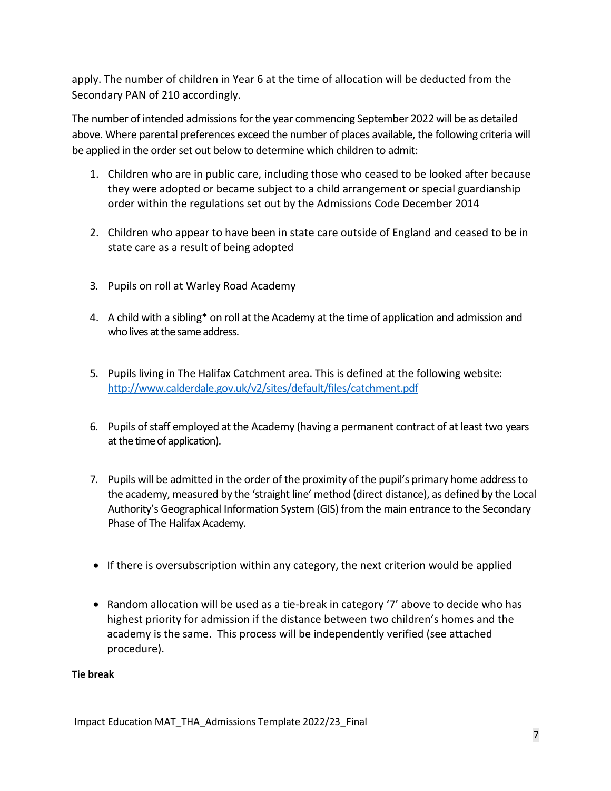apply. The number of children in Year 6 at the time of allocation will be deducted from the Secondary PAN of 210 accordingly.

The number of intended admissions for the year commencing September 2022 will be as detailed above. Where parental preferences exceed the number of places available, the following criteria will be applied in the order set out below to determine which children to admit:

- 1. Children who are in public care, including those who ceased to be looked after because they were adopted or became subject to a child arrangement or special guardianship order within the regulations set out by the Admissions Code December 2014
- 2. Children who appear to have been in state care outside of England and ceased to be in state care as a result of being adopted
- 3. Pupils on roll at Warley Road Academy
- 4. A child with a sibling\* on roll at the Academy at the time of application and admission and who lives at the same address.
- 5. Pupils living in The Halifax Catchment area. This is defined at the following website: <http://www.calderdale.gov.uk/v2/sites/default/files/catchment.pdf>
- 6. Pupils of staff employed at the Academy (having a permanent contract of at least two years at the time of application).
- 7. Pupils will be admitted in the order of the proximity of the pupil's primary home address to the academy, measured by the 'straight line' method (direct distance), as defined by the Local Authority's Geographical Information System (GIS) from the main entrance to the Secondary Phase of The Halifax Academy.
- If there is oversubscription within any category, the next criterion would be applied
- Random allocation will be used as a tie-break in category '7' above to decide who has highest priority for admission if the distance between two children's homes and the academy is the same. This process will be independently verified (see attached procedure).

## **Tie break**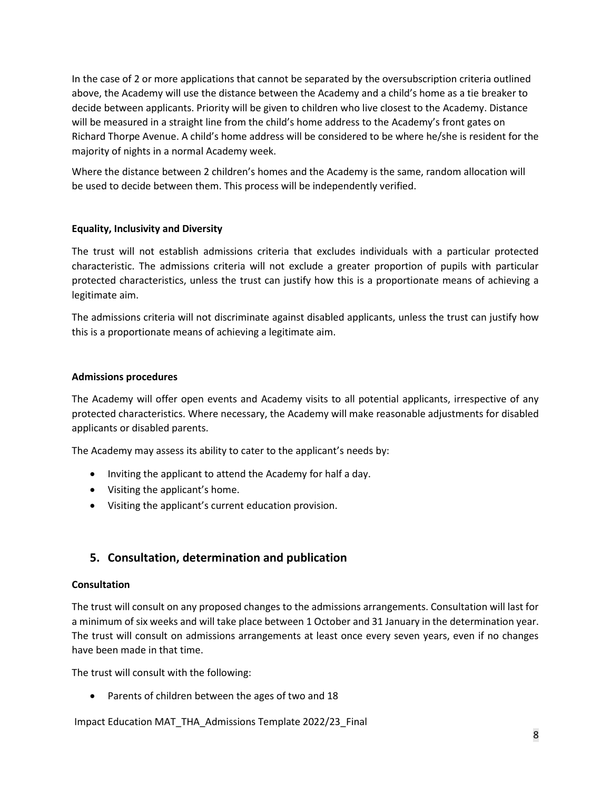In the case of 2 or more applications that cannot be separated by the oversubscription criteria outlined above, the Academy will use the distance between the Academy and a child's home as a tie breaker to decide between applicants. Priority will be given to children who live closest to the Academy. Distance will be measured in a straight line from the child's home address to the Academy's front gates on Richard Thorpe Avenue. A child's home address will be considered to be where he/she is resident for the majority of nights in a normal Academy week.

Where the distance between 2 children's homes and the Academy is the same, random allocation will be used to decide between them. This process will be independently verified.

## **Equality, Inclusivity and Diversity**

The trust will not establish admissions criteria that excludes individuals with a particular protected characteristic. The admissions criteria will not exclude a greater proportion of pupils with particular protected characteristics, unless the trust can justify how this is a proportionate means of achieving a legitimate aim.

The admissions criteria will not discriminate against disabled applicants, unless the trust can justify how this is a proportionate means of achieving a legitimate aim.

#### **Admissions procedures**

The Academy will offer open events and Academy visits to all potential applicants, irrespective of any protected characteristics. Where necessary, the Academy will make reasonable adjustments for disabled applicants or disabled parents.

The Academy may assess its ability to cater to the applicant's needs by:

- Inviting the applicant to attend the Academy for half a day.
- Visiting the applicant's home.
- Visiting the applicant's current education provision.

## **5. Consultation, determination and publication**

#### **Consultation**

The trust will consult on any proposed changes to the admissions arrangements. Consultation will last for a minimum of six weeks and will take place between 1 October and 31 January in the determination year. The trust will consult on admissions arrangements at least once every seven years, even if no changes have been made in that time.

The trust will consult with the following:

• Parents of children between the ages of two and 18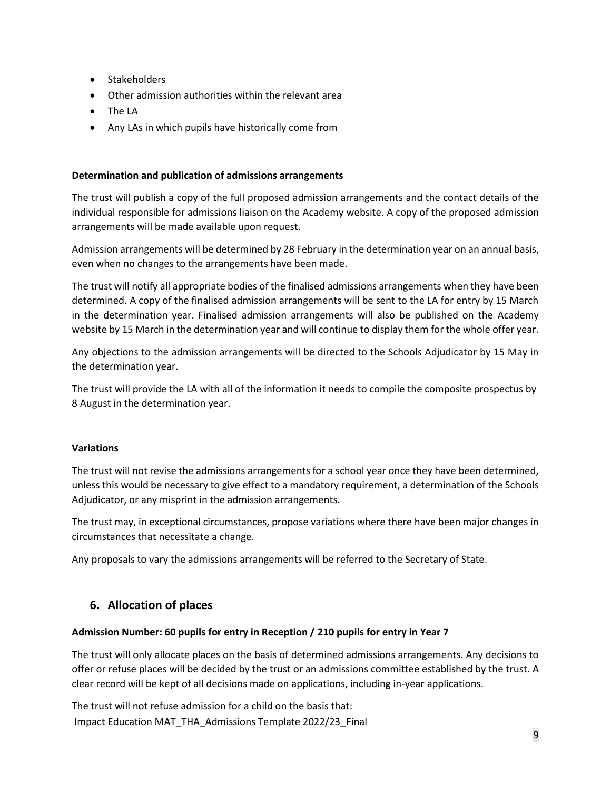- Stakeholders
- Other admission authorities within the relevant area
- The LA
- Any LAs in which pupils have historically come from

## **Determination and publication of admissions arrangements**

The trust will publish a copy of the full proposed admission arrangements and the contact details of the individual responsible for admissions liaison on the Academy website. A copy of the proposed admission arrangements will be made available upon request.

Admission arrangements will be determined by 28 February in the determination year on an annual basis, even when no changes to the arrangements have been made.

The trust will notify all appropriate bodies of the finalised admissions arrangements when they have been determined. A copy of the finalised admission arrangements will be sent to the LA for entry by 15 March in the determination year. Finalised admission arrangements will also be published on the Academy website by 15 March in the determination year and will continue to display them for the whole offer year.

Any objections to the admission arrangements will be directed to the Schools Adjudicator by 15 May in the determination year.

The trust will provide the LA with all of the information it needs to compile the composite prospectus by 8 August in the determination year.

#### **Variations**

The trust will not revise the admissions arrangements for a school year once they have been determined, unless this would be necessary to give effect to a mandatory requirement, a determination of the Schools Adjudicator, or any misprint in the admission arrangements.

The trust may, in exceptional circumstances, propose variations where there have been major changes in circumstances that necessitate a change.

Any proposals to vary the admissions arrangements will be referred to the Secretary of State.

## **6. Allocation of places**

#### **Admission Number: 60 pupils for entry in Reception / 210 pupils for entry in Year 7**

The trust will only allocate places on the basis of determined admissions arrangements. Any decisions to offer or refuse places will be decided by the trust or an admissions committee established by the trust. A clear record will be kept of all decisions made on applications, including in-year applications.

Impact Education MAT\_THA\_Admissions Template 2022/23\_Final The trust will not refuse admission for a child on the basis that: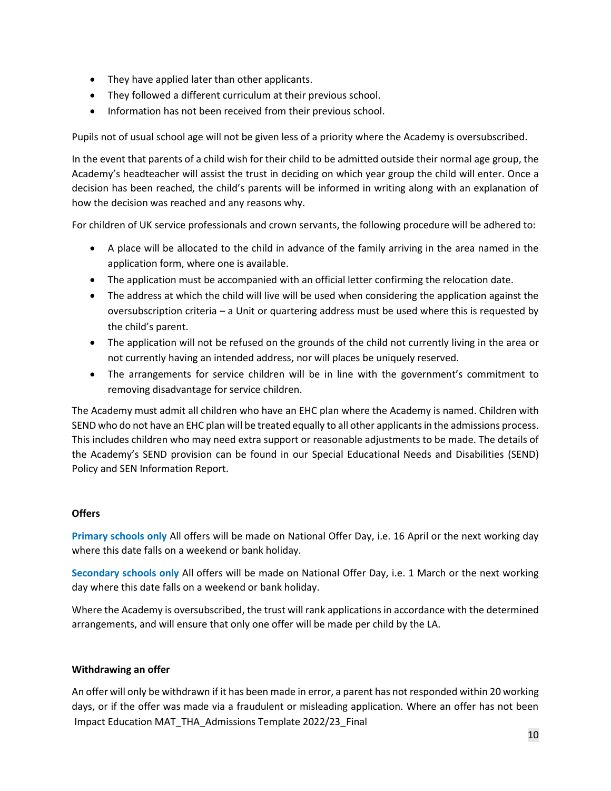- They have applied later than other applicants.
- They followed a different curriculum at their previous school.
- Information has not been received from their previous school.

Pupils not of usual school age will not be given less of a priority where the Academy is oversubscribed.

In the event that parents of a child wish for their child to be admitted outside their normal age group, the Academy's headteacher will assist the trust in deciding on which year group the child will enter. Once a decision has been reached, the child's parents will be informed in writing along with an explanation of how the decision was reached and any reasons why.

For children of UK service professionals and crown servants, the following procedure will be adhered to:

- A place will be allocated to the child in advance of the family arriving in the area named in the application form, where one is available.
- The application must be accompanied with an official letter confirming the relocation date.
- The address at which the child will live will be used when considering the application against the oversubscription criteria – a Unit or quartering address must be used where this is requested by the child's parent.
- The application will not be refused on the grounds of the child not currently living in the area or not currently having an intended address, nor will places be uniquely reserved.
- The arrangements for service children will be in line with the government's commitment to removing disadvantage for service children.

The Academy must admit all children who have an EHC plan where the Academy is named. Children with SEND who do not have an EHC plan will be treated equally to all other applicants in the admissions process. This includes children who may need extra support or reasonable adjustments to be made. The details of the Academy's SEND provision can be found in our Special Educational Needs and Disabilities (SEND) Policy and SEN Information Report.

#### **Offers**

**Primary schools only** All offers will be made on National Offer Day, i.e. 16 April or the next working day where this date falls on a weekend or bank holiday.

**Secondary schools only** All offers will be made on National Offer Day, i.e. 1 March or the next working day where this date falls on a weekend or bank holiday.

Where the Academy is oversubscribed, the trust will rank applications in accordance with the determined arrangements, and will ensure that only one offer will be made per child by the LA.

#### **Withdrawing an offer**

Impact Education MAT\_THA\_Admissions Template 2022/23\_Final An offer will only be withdrawn if it has been made in error, a parent has not responded within 20 working days, or if the offer was made via a fraudulent or misleading application. Where an offer has not been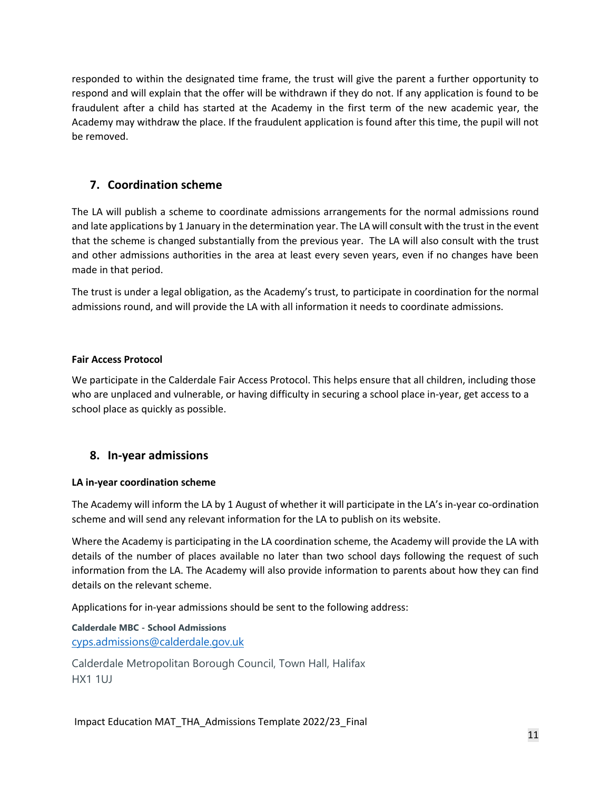responded to within the designated time frame, the trust will give the parent a further opportunity to respond and will explain that the offer will be withdrawn if they do not. If any application is found to be fraudulent after a child has started at the Academy in the first term of the new academic year, the Academy may withdraw the place. If the fraudulent application is found after this time, the pupil will not be removed.

## **7. Coordination scheme**

The LA will publish a scheme to coordinate admissions arrangements for the normal admissions round and late applications by 1 January in the determination year. The LA will consult with the trust in the event that the scheme is changed substantially from the previous year. The LA will also consult with the trust and other admissions authorities in the area at least every seven years, even if no changes have been made in that period.

The trust is under a legal obligation, as the Academy's trust, to participate in coordination for the normal admissions round, and will provide the LA with all information it needs to coordinate admissions.

## **Fair Access Protocol**

We participate in the Calderdale Fair Access Protocol. This helps ensure that all children, including those who are unplaced and vulnerable, or having difficulty in securing a school place in-year, get access to a school place as quickly as possible.

## **8. In-year admissions**

#### **LA in-year coordination scheme**

The Academy will inform the LA by 1 August of whether it will participate in the LA's in-year co-ordination scheme and will send any relevant information for the LA to publish on its website.

Where the Academy is participating in the LA coordination scheme, the Academy will provide the LA with details of the number of places available no later than two school days following the request of such information from the LA. The Academy will also provide information to parents about how they can find details on the relevant scheme.

Applications for in-year admissions should be sent to the following address:

**Calderdale MBC - School Admissions** [cyps.admissions@calderdale.gov.uk](mailto:cyps.admissions@calderdale.gov.uk)

Calderdale Metropolitan Borough Council, Town Hall, Halifax HX1 1UJ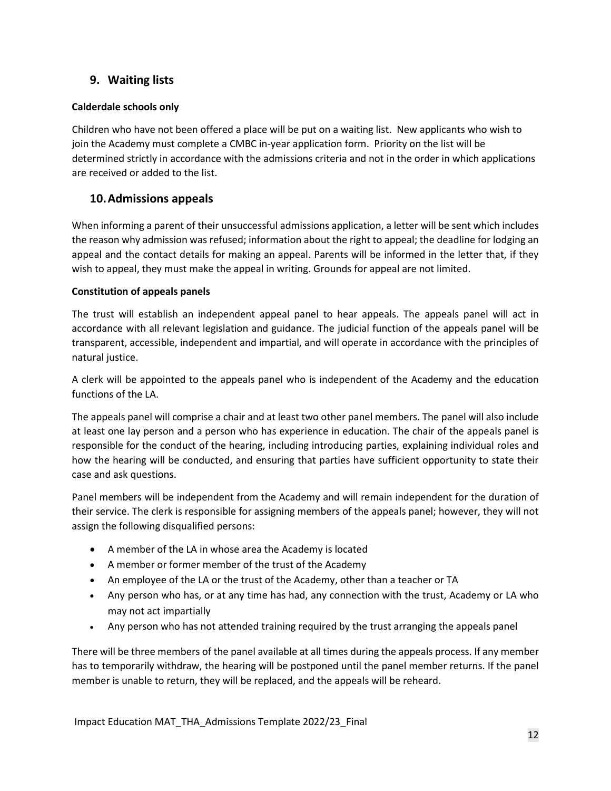## **9. Waiting lists**

## **Calderdale schools only**

Children who have not been offered a place will be put on a waiting list. New applicants who wish to join the Academy must complete a CMBC in-year application form. Priority on the list will be determined strictly in accordance with the admissions criteria and not in the order in which applications are received or added to the list.

## **10.Admissions appeals**

When informing a parent of their unsuccessful admissions application, a letter will be sent which includes the reason why admission was refused; information about the right to appeal; the deadline for lodging an appeal and the contact details for making an appeal. Parents will be informed in the letter that, if they wish to appeal, they must make the appeal in writing. Grounds for appeal are not limited.

## **Constitution of appeals panels**

The trust will establish an independent appeal panel to hear appeals. The appeals panel will act in accordance with all relevant legislation and guidance. The judicial function of the appeals panel will be transparent, accessible, independent and impartial, and will operate in accordance with the principles of natural justice.

A clerk will be appointed to the appeals panel who is independent of the Academy and the education functions of the LA.

The appeals panel will comprise a chair and at least two other panel members. The panel will also include at least one lay person and a person who has experience in education. The chair of the appeals panel is responsible for the conduct of the hearing, including introducing parties, explaining individual roles and how the hearing will be conducted, and ensuring that parties have sufficient opportunity to state their case and ask questions.

Panel members will be independent from the Academy and will remain independent for the duration of their service. The clerk is responsible for assigning members of the appeals panel; however, they will not assign the following disqualified persons:

- A member of the LA in whose area the Academy is located
- A member or former member of the trust of the Academy
- An employee of the LA or the trust of the Academy, other than a teacher or TA
- Any person who has, or at any time has had, any connection with the trust, Academy or LA who may not act impartially
- Any person who has not attended training required by the trust arranging the appeals panel

There will be three members of the panel available at all times during the appeals process. If any member has to temporarily withdraw, the hearing will be postponed until the panel member returns. If the panel member is unable to return, they will be replaced, and the appeals will be reheard.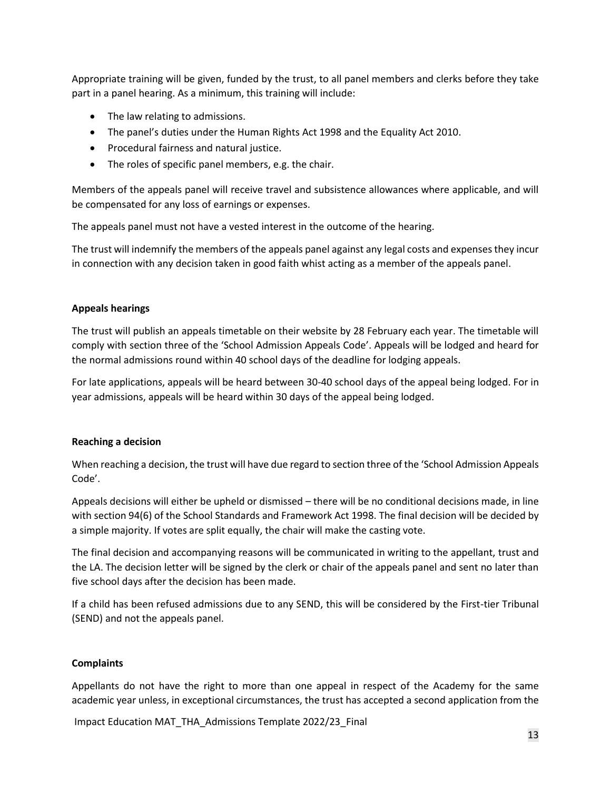Appropriate training will be given, funded by the trust, to all panel members and clerks before they take part in a panel hearing. As a minimum, this training will include:

- The law relating to admissions.
- The panel's duties under the Human Rights Act 1998 and the Equality Act 2010.
- Procedural fairness and natural justice.
- The roles of specific panel members, e.g. the chair.

Members of the appeals panel will receive travel and subsistence allowances where applicable, and will be compensated for any loss of earnings or expenses.

The appeals panel must not have a vested interest in the outcome of the hearing.

The trust will indemnify the members of the appeals panel against any legal costs and expenses they incur in connection with any decision taken in good faith whist acting as a member of the appeals panel.

#### **Appeals hearings**

The trust will publish an appeals timetable on their website by 28 February each year. The timetable will comply with section three of the 'School Admission Appeals Code'. Appeals will be lodged and heard for the normal admissions round within 40 school days of the deadline for lodging appeals.

For late applications, appeals will be heard between 30-40 school days of the appeal being lodged. For in year admissions, appeals will be heard within 30 days of the appeal being lodged.

#### **Reaching a decision**

When reaching a decision, the trust will have due regard to section three of the 'School Admission Appeals Code'.

Appeals decisions will either be upheld or dismissed – there will be no conditional decisions made, in line with section 94(6) of the School Standards and Framework Act 1998. The final decision will be decided by a simple majority. If votes are split equally, the chair will make the casting vote.

The final decision and accompanying reasons will be communicated in writing to the appellant, trust and the LA. The decision letter will be signed by the clerk or chair of the appeals panel and sent no later than five school days after the decision has been made.

If a child has been refused admissions due to any SEND, this will be considered by the First-tier Tribunal (SEND) and not the appeals panel.

#### **Complaints**

Appellants do not have the right to more than one appeal in respect of the Academy for the same academic year unless, in exceptional circumstances, the trust has accepted a second application from the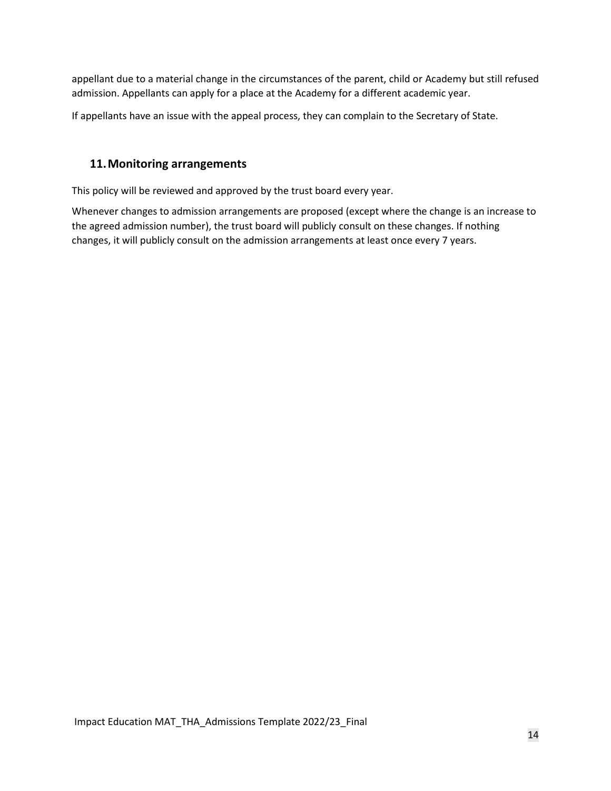appellant due to a material change in the circumstances of the parent, child or Academy but still refused admission. Appellants can apply for a place at the Academy for a different academic year.

If appellants have an issue with the appeal process, they can complain to the Secretary of State.

## **11.Monitoring arrangements**

This policy will be reviewed and approved by the trust board every year.

Whenever changes to admission arrangements are proposed (except where the change is an increase to the agreed admission number), the trust board will publicly consult on these changes. If nothing changes, it will publicly consult on the admission arrangements at least once every 7 years.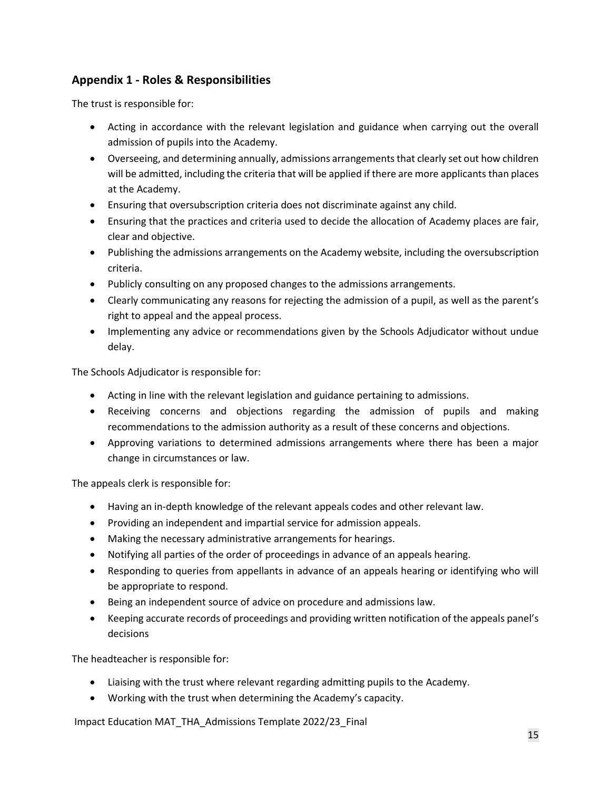# **Appendix 1 - Roles & Responsibilities**

The trust is responsible for:

- Acting in accordance with the relevant legislation and guidance when carrying out the overall admission of pupils into the Academy.
- Overseeing, and determining annually, admissions arrangements that clearly set out how children will be admitted, including the criteria that will be applied if there are more applicants than places at the Academy.
- Ensuring that oversubscription criteria does not discriminate against any child.
- Ensuring that the practices and criteria used to decide the allocation of Academy places are fair, clear and objective.
- Publishing the admissions arrangements on the Academy website, including the oversubscription criteria.
- Publicly consulting on any proposed changes to the admissions arrangements.
- Clearly communicating any reasons for rejecting the admission of a pupil, as well as the parent's right to appeal and the appeal process.
- Implementing any advice or recommendations given by the Schools Adjudicator without undue delay.

The Schools Adjudicator is responsible for:

- Acting in line with the relevant legislation and guidance pertaining to admissions.
- Receiving concerns and objections regarding the admission of pupils and making recommendations to the admission authority as a result of these concerns and objections.
- Approving variations to determined admissions arrangements where there has been a major change in circumstances or law.

The appeals clerk is responsible for:

- Having an in-depth knowledge of the relevant appeals codes and other relevant law.
- Providing an independent and impartial service for admission appeals.
- Making the necessary administrative arrangements for hearings.
- Notifying all parties of the order of proceedings in advance of an appeals hearing.
- Responding to queries from appellants in advance of an appeals hearing or identifying who will be appropriate to respond.
- Being an independent source of advice on procedure and admissions law.
- Keeping accurate records of proceedings and providing written notification of the appeals panel's decisions

The headteacher is responsible for:

- Liaising with the trust where relevant regarding admitting pupils to the Academy.
- Working with the trust when determining the Academy's capacity.